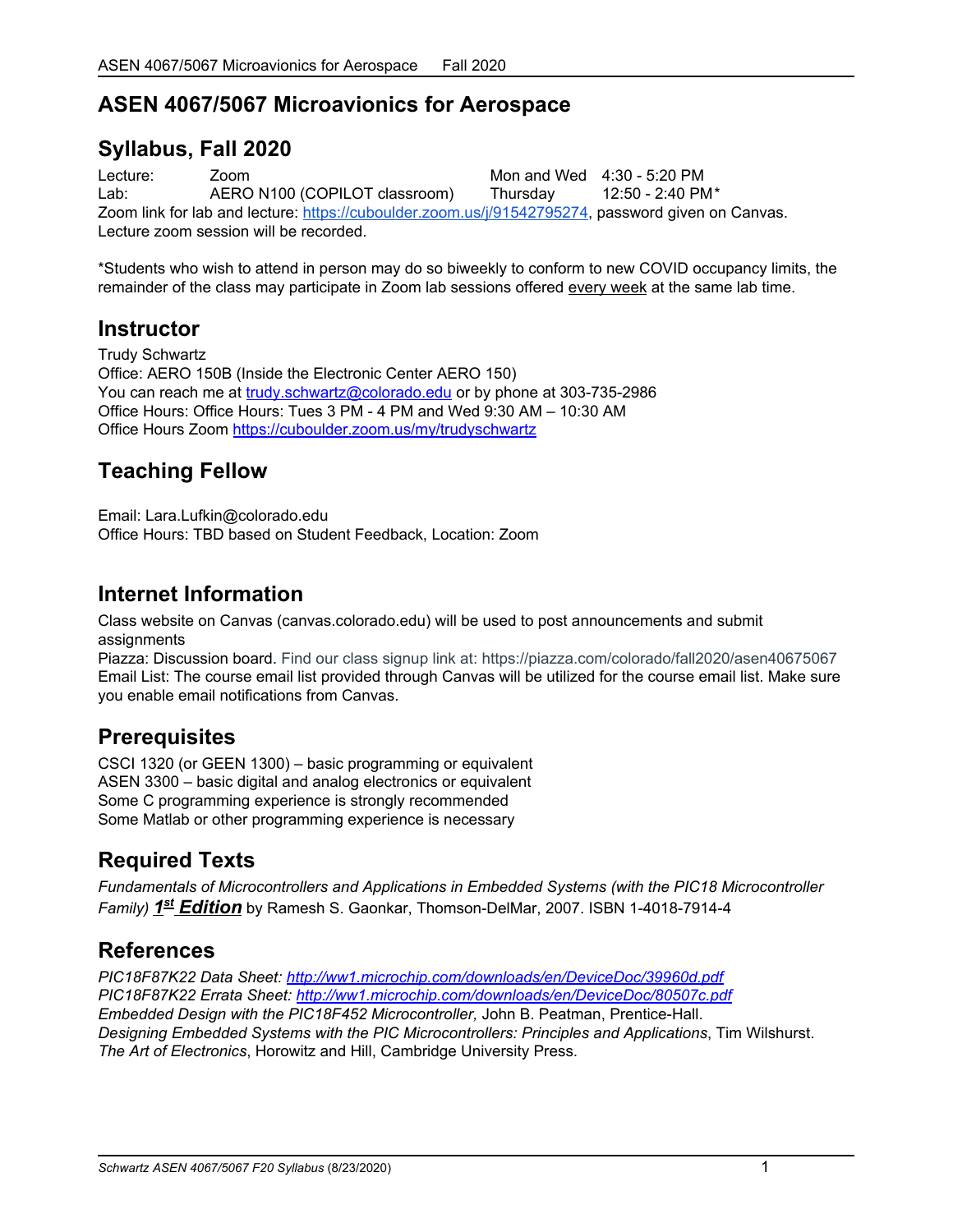# **ASEN 4067/5067 Microavionics for Aerospace**

### **Syllabus, Fall 2020**

Lecture: Zoom Mon and Wed 4:30 - 5:20 PM Lab: AERO N100 (COPILOT classroom) Thursday 12:50 - 2:40 PM\* Zoom link for lab and lecture: <https://cuboulder.zoom.us/j/91542795274>, password given on Canvas. Lecture zoom session will be recorded.

\*Students who wish to attend in person may do so biweekly to conform to new COVID occupancy limits, the remainder of the class may participate in Zoom lab sessions offered every week at the same lab time.

### **Instructor**

Trudy Schwartz Office: AERO 150B (Inside the Electronic Center AERO 150) You can reach me at [trudy.schwartz@colorado.edu](mailto:trudy.schwartz@colorado.edu) or by phone at 303-735-2986 Office Hours: Office Hours: Tues 3 PM - 4 PM and Wed 9:30 AM – 10:30 AM Office Hours Zoom <https://cuboulder.zoom.us/my/trudyschwartz>

# **Teaching Fellow**

Email: Lara.Lufkin@colorado.edu

Office Hours: TBD based on Student Feedback, Location: Zoom

### **Internet Information**

Class website on Canvas (canvas.colorado.edu) will be used to post announcements and submit assignments

Piazza: Discussion board. Find our class signup link at: https://piazza.com/colorado/fall2020/asen40675067 Email List: The course email list provided through Canvas will be utilized for the course email list. Make sure you enable email notifications from Canvas.

## **Prerequisites**

CSCI 1320 (or GEEN 1300) – basic programming or equivalent ASEN 3300 – basic digital and analog electronics or equivalent Some C programming experience is strongly recommended Some Matlab or other programming experience is necessary

# **Required Texts**

*Fundamentals of Microcontrollers and Applications in Embedded Systems (with the PIC18 Microcontroller Family) 1 st Edition* by Ramesh S. Gaonkar, Thomson-DelMar, 2007. ISBN 1-4018-7914-4

## **References**

*PIC18F87K22 Data Sheet: <http://ww1.microchip.com/downloads/en/DeviceDoc/39960d.pdf> PIC18F87K22 Errata Sheet: <http://ww1.microchip.com/downloads/en/DeviceDoc/80507c.pdf> Embedded Design with the PIC18F452 Microcontroller,* John B. Peatman, Prentice-Hall. *Designing Embedded Systems with the PIC Microcontrollers: Principles and Applications*, Tim Wilshurst. *The Art of Electronics*, Horowitz and Hill, Cambridge University Press.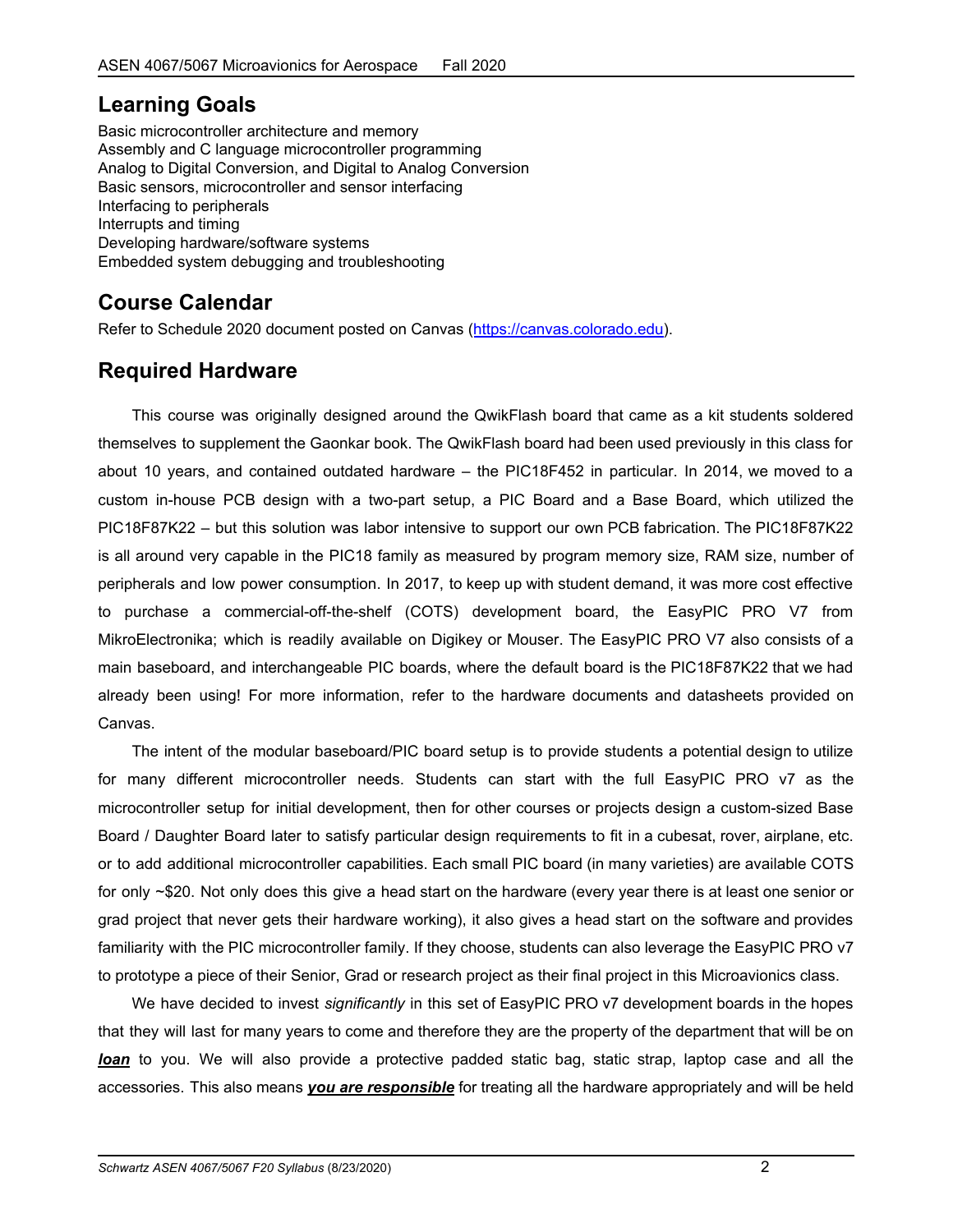### **Learning Goals**

Basic microcontroller architecture and memory Assembly and C language microcontroller programming Analog to Digital Conversion, and Digital to Analog Conversion Basic sensors, microcontroller and sensor interfacing Interfacing to peripherals Interrupts and timing Developing hardware/software systems Embedded system debugging and troubleshooting

# **Course Calendar**

Refer to Schedule 2020 document posted on Canvas [\(https://canvas.colorado.edu\)](https://canvas.colorado.edu/).

### **Required Hardware**

This course was originally designed around the QwikFlash board that came as a kit students soldered themselves to supplement the Gaonkar book. The QwikFlash board had been used previously in this class for about 10 years, and contained outdated hardware – the PIC18F452 in particular. In 2014, we moved to a custom in-house PCB design with a two-part setup, a PIC Board and a Base Board, which utilized the PIC18F87K22 – but this solution was labor intensive to support our own PCB fabrication. The PIC18F87K22 is all around very capable in the PIC18 family as measured by program memory size, RAM size, number of peripherals and low power consumption. In 2017, to keep up with student demand, it was more cost effective to purchase a commercial-off-the-shelf (COTS) development board, the EasyPIC PRO V7 from MikroElectronika; which is readily available on Digikey or Mouser. The EasyPIC PRO V7 also consists of a main baseboard, and interchangeable PIC boards, where the default board is the PIC18F87K22 that we had already been using! For more information, refer to the hardware documents and datasheets provided on Canvas.

The intent of the modular baseboard/PIC board setup is to provide students a potential design to utilize for many different microcontroller needs. Students can start with the full EasyPIC PRO v7 as the microcontroller setup for initial development, then for other courses or projects design a custom-sized Base Board / Daughter Board later to satisfy particular design requirements to fit in a cubesat, rover, airplane, etc. or to add additional microcontroller capabilities. Each small PIC board (in many varieties) are available COTS for only ~\$20. Not only does this give a head start on the hardware (every year there is at least one senior or grad project that never gets their hardware working), it also gives a head start on the software and provides familiarity with the PIC microcontroller family. If they choose, students can also leverage the EasyPIC PRO v7 to prototype a piece of their Senior, Grad or research project as their final project in this Microavionics class.

We have decided to invest *significantly* in this set of EasyPIC PRO v7 development boards in the hopes that they will last for many years to come and therefore they are the property of the department that will be on *loan* to you. We will also provide a protective padded static bag, static strap, laptop case and all the accessories. This also means *you are responsible* for treating all the hardware appropriately and will be held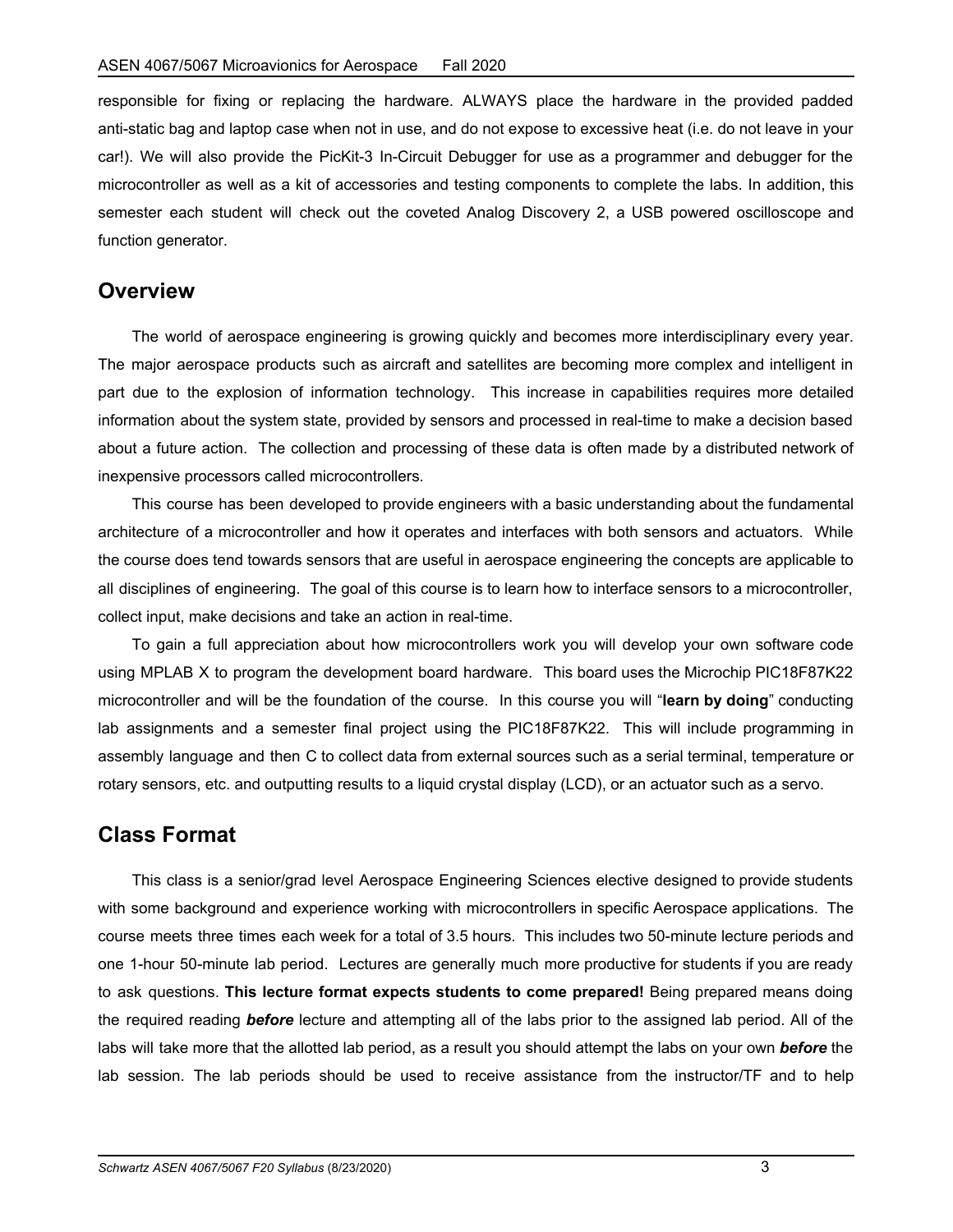responsible for fixing or replacing the hardware. ALWAYS place the hardware in the provided padded anti-static bag and laptop case when not in use, and do not expose to excessive heat (i.e. do not leave in your car!). We will also provide the PicKit-3 In-Circuit Debugger for use as a programmer and debugger for the microcontroller as well as a kit of accessories and testing components to complete the labs. In addition, this semester each student will check out the coveted Analog Discovery 2, a USB powered oscilloscope and function generator.

#### **Overview**

The world of aerospace engineering is growing quickly and becomes more interdisciplinary every year. The major aerospace products such as aircraft and satellites are becoming more complex and intelligent in part due to the explosion of information technology. This increase in capabilities requires more detailed information about the system state, provided by sensors and processed in real-time to make a decision based about a future action. The collection and processing of these data is often made by a distributed network of inexpensive processors called microcontrollers.

This course has been developed to provide engineers with a basic understanding about the fundamental architecture of a microcontroller and how it operates and interfaces with both sensors and actuators. While the course does tend towards sensors that are useful in aerospace engineering the concepts are applicable to all disciplines of engineering. The goal of this course is to learn how to interface sensors to a microcontroller, collect input, make decisions and take an action in real-time.

To gain a full appreciation about how microcontrollers work you will develop your own software code using MPLAB X to program the development board hardware. This board uses the Microchip PIC18F87K22 microcontroller and will be the foundation of the course. In this course you will "**learn by doing**" conducting lab assignments and a semester final project using the PIC18F87K22. This will include programming in assembly language and then C to collect data from external sources such as a serial terminal, temperature or rotary sensors, etc. and outputting results to a liquid crystal display (LCD), or an actuator such as a servo.

#### **Class Format**

This class is a senior/grad level Aerospace Engineering Sciences elective designed to provide students with some background and experience working with microcontrollers in specific Aerospace applications. The course meets three times each week for a total of 3.5 hours. This includes two 50-minute lecture periods and one 1-hour 50-minute lab period. Lectures are generally much more productive for students if you are ready to ask questions. **This lecture format expects students to come prepared!** Being prepared means doing the required reading *before* lecture and attempting all of the labs prior to the assigned lab period. All of the labs will take more that the allotted lab period, as a result you should attempt the labs on your own *before* the lab session. The lab periods should be used to receive assistance from the instructor/TF and to help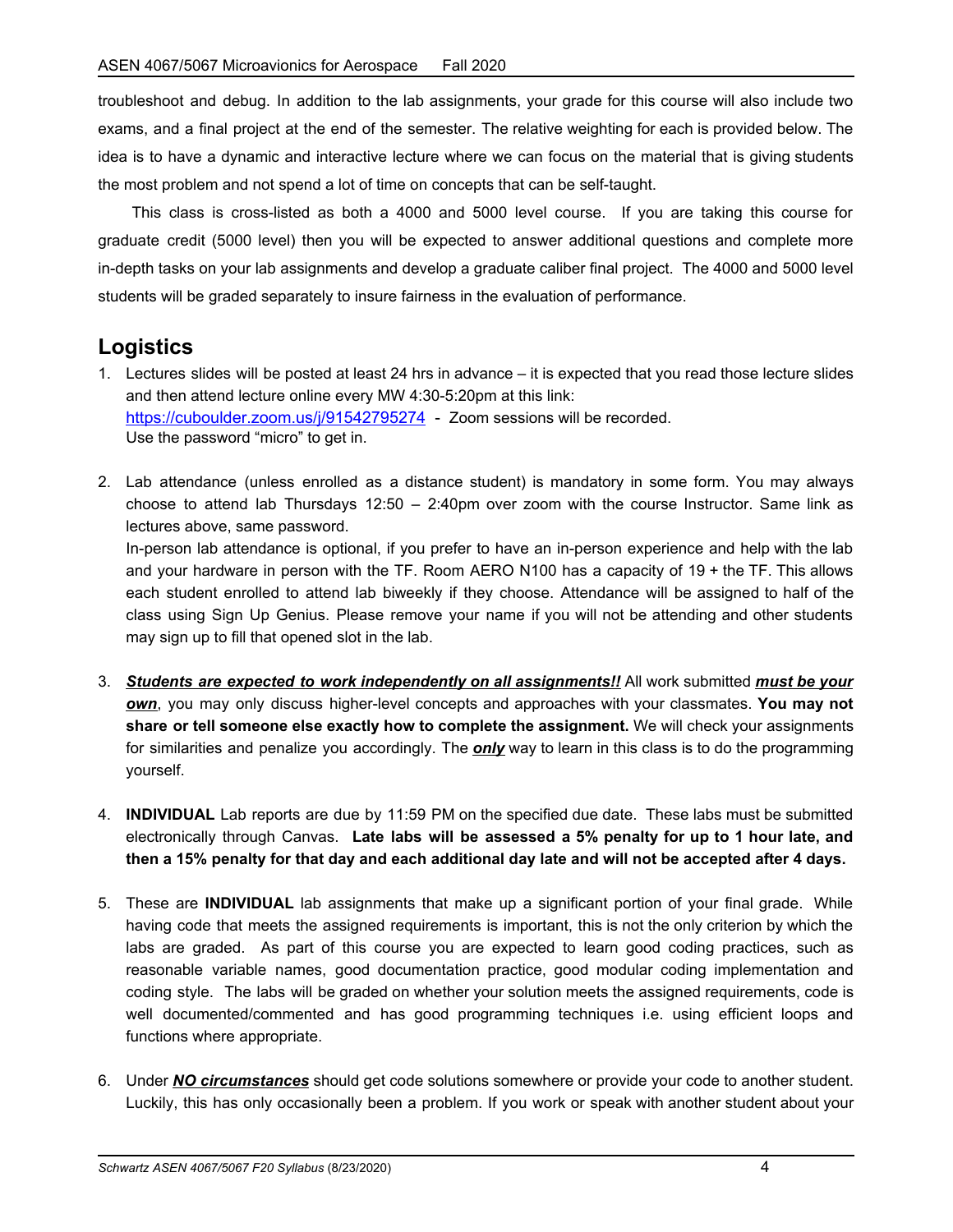troubleshoot and debug. In addition to the lab assignments, your grade for this course will also include two exams, and a final project at the end of the semester. The relative weighting for each is provided below. The idea is to have a dynamic and interactive lecture where we can focus on the material that is giving students the most problem and not spend a lot of time on concepts that can be self-taught.

This class is cross-listed as both a 4000 and 5000 level course. If you are taking this course for graduate credit (5000 level) then you will be expected to answer additional questions and complete more in-depth tasks on your lab assignments and develop a graduate caliber final project. The 4000 and 5000 level students will be graded separately to insure fairness in the evaluation of performance.

#### **Logistics**

- 1. Lectures slides will be posted at least 24 hrs in advance it is expected that you read those lecture slides and then attend lecture online every MW 4:30-5:20pm at this link: <https://cuboulder.zoom.us/j/91542795274>- Zoom sessions will be recorded. Use the password "micro" to get in.
- 2. Lab attendance (unless enrolled as a distance student) is mandatory in some form. You may always choose to attend lab Thursdays 12:50 – 2:40pm over zoom with the course Instructor. Same link as lectures above, same password.

In-person lab attendance is optional, if you prefer to have an in-person experience and help with the lab and your hardware in person with the TF. Room AERO N100 has a capacity of 19 + the TF. This allows each student enrolled to attend lab biweekly if they choose. Attendance will be assigned to half of the class using Sign Up Genius. Please remove your name if you will not be attending and other students may sign up to fill that opened slot in the lab.

- 3. *Students are expected to work independently on all assignments!!* All work submitted *must be your own*, you may only discuss higher-level concepts and approaches with your classmates. **You may not share or tell someone else exactly how to complete the assignment.** We will check your assignments for similarities and penalize you accordingly. The *only* way to learn in this class is to do the programming yourself.
- 4. **INDIVIDUAL** Lab reports are due by 11:59 PM on the specified due date. These labs must be submitted electronically through Canvas. **Late labs will be assessed a 5% penalty for up to 1 hour late, and** then a 15% penalty for that day and each additional day late and will not be accepted after 4 days.
- 5. These are **INDIVIDUAL** lab assignments that make up a significant portion of your final grade. While having code that meets the assigned requirements is important, this is not the only criterion by which the labs are graded. As part of this course you are expected to learn good coding practices, such as reasonable variable names, good documentation practice, good modular coding implementation and coding style. The labs will be graded on whether your solution meets the assigned requirements, code is well documented/commented and has good programming techniques i.e. using efficient loops and functions where appropriate.
- 6. Under *NO circumstances* should get code solutions somewhere or provide your code to another student. Luckily, this has only occasionally been a problem. If you work or speak with another student about your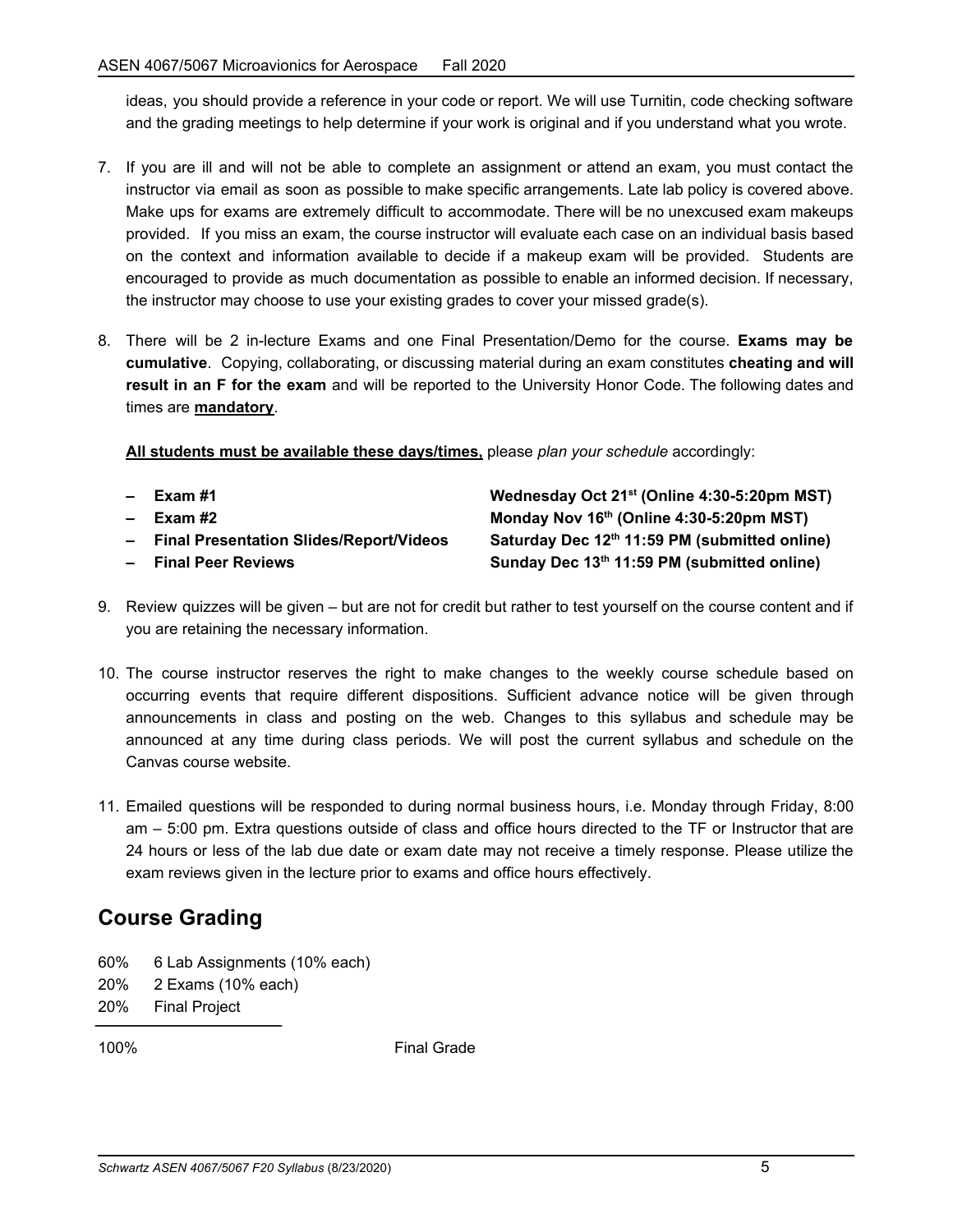ideas, you should provide a reference in your code or report. We will use Turnitin, code checking software and the grading meetings to help determine if your work is original and if you understand what you wrote.

- 7. If you are ill and will not be able to complete an assignment or attend an exam, you must contact the instructor via email as soon as possible to make specific arrangements. Late lab policy is covered above. Make ups for exams are extremely difficult to accommodate. There will be no unexcused exam makeups provided. If you miss an exam, the course instructor will evaluate each case on an individual basis based on the context and information available to decide if a makeup exam will be provided. Students are encouraged to provide as much documentation as possible to enable an informed decision. If necessary, the instructor may choose to use your existing grades to cover your missed grade(s).
- 8. There will be 2 in-lecture Exams and one Final Presentation/Demo for the course. **Exams may be cumulative**. Copying, collaborating, or discussing material during an exam constitutes **cheating and will result in an F for the exam** and will be reported to the University Honor Code. The following dates and times are **mandatory**.

**All students must be available these days/times,** please *plan your schedule* accordingly:

- 
- 
- **–** Final Presentation Slides/Report/Videos
- $P^2$  **Final Peer Reviews**

**– Exam #1 Wednesday Oct 21 st (Online 4:30-5:20pm MST) – Exam #2 Monday Nov 16 th (Online 4:30-5:20pm MST) th 11:59 PM (submitted online) th 11:59 PM (submitted online)**

- 9. Review quizzes will be given but are not for credit but rather to test yourself on the course content and if you are retaining the necessary information.
- 10. The course instructor reserves the right to make changes to the weekly course schedule based on occurring events that require different dispositions. Sufficient advance notice will be given through announcements in class and posting on the web. Changes to this syllabus and schedule may be announced at any time during class periods. We will post the current syllabus and schedule on the Canvas course website.
- 11. Emailed questions will be responded to during normal business hours, i.e. Monday through Friday, 8:00 am – 5:00 pm. Extra questions outside of class and office hours directed to the TF or Instructor that are 24 hours or less of the lab due date or exam date may not receive a timely response. Please utilize the exam reviews given in the lecture prior to exams and office hours effectively.

### **Course Grading**

- 60% 6 Lab Assignments (10% each)
- 20% 2 Exams (10% each)
- 20% Final Project

100% Final Grade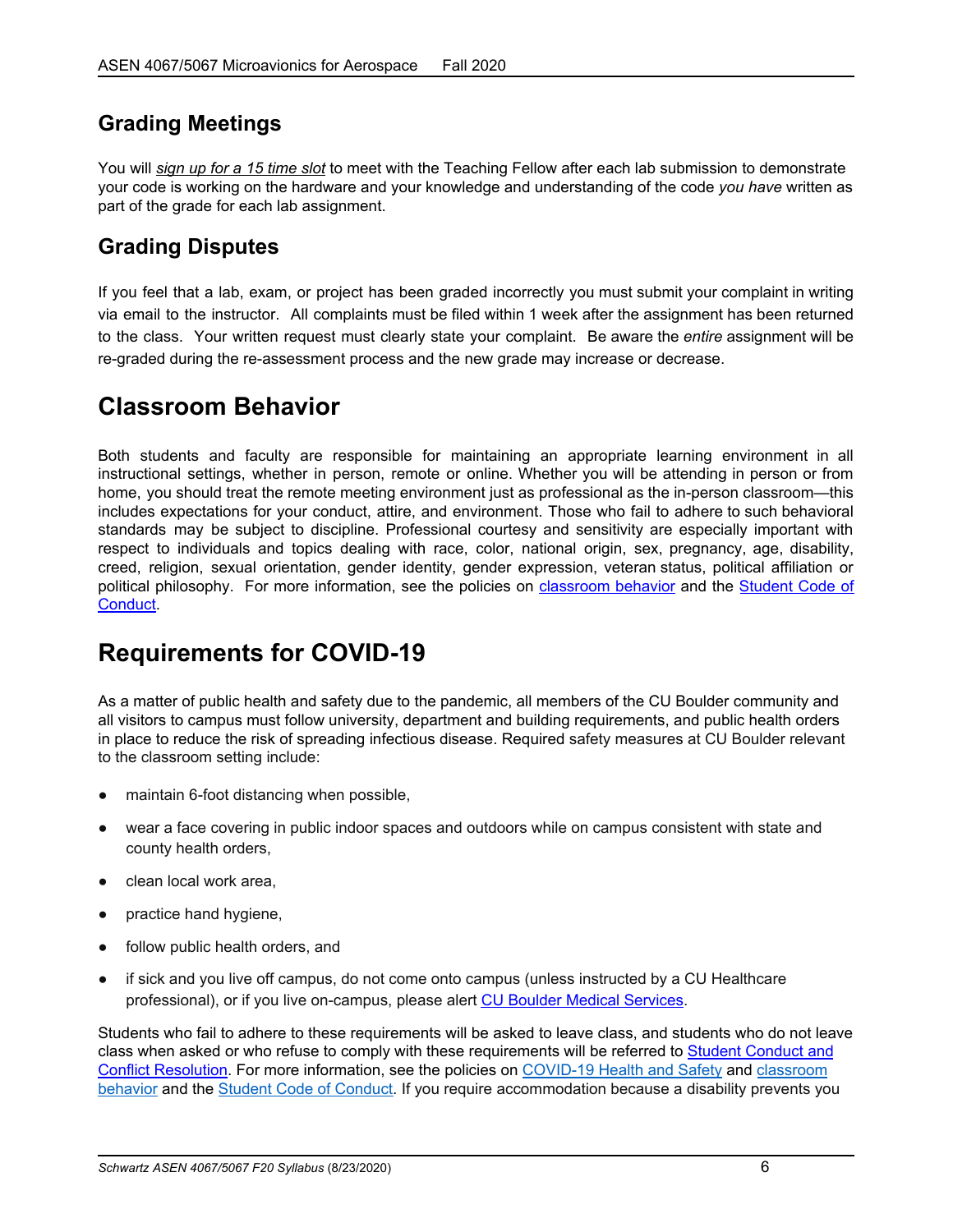### **Grading Meetings**

You will *sign up for a 15 time slot* to meet with the Teaching Fellow after each lab submission to demonstrate your code is working on the hardware and your knowledge and understanding of the code *you have* written as part of the grade for each lab assignment.

### **Grading Disputes**

If you feel that a lab, exam, or project has been graded incorrectly you must submit your complaint in writing via email to the instructor. All complaints must be filed within 1 week after the assignment has been returned to the class. Your written request must clearly state your complaint. Be aware the *entire* assignment will be re-graded during the re-assessment process and the new grade may increase or decrease.

# **Classroom Behavior**

Both students and faculty are responsible for maintaining an appropriate learning environment in all instructional settings, whether in person, remote or online. Whether you will be attending in person or from home, you should treat the remote meeting environment just as professional as the in-person classroom—this includes expectations for your conduct, attire, and environment. Those who fail to adhere to such behavioral standards may be subject to discipline. Professional courtesy and sensitivity are especially important with respect to individuals and topics dealing with race, color, national origin, sex, pregnancy, age, disability, creed, religion, sexual orientation, gender identity, gender expression, veteran status, political affiliation or political philosophy. For more information, see the policies on [classroom](http://www.colorado.edu/policies/student-classroom-and-course-related-behavior) behavior and the [Student](https://www.colorado.edu/sccr/sites/default/files/attached-files/2020-2021_student_code_of_conduct_0.pdf) Code of [Conduct](https://www.colorado.edu/sccr/sites/default/files/attached-files/2020-2021_student_code_of_conduct_0.pdf).

# **Requirements for COVID-19**

As a matter of public health and safety due to the pandemic, all members of the CU Boulder community and all visitors to campus must follow university, department and building requirements, and public health orders in place to reduce the risk of spreading infectious disease. Required safety measures at CU Boulder relevant to the classroom setting include:

- maintain 6-foot distancing when possible,
- wear a face covering in public indoor spaces and outdoors while on campus consistent with state and county health orders,
- clean local work area,
- practice hand hygiene,
- follow public health orders, and
- if sick and you live off campus, do not come onto campus (unless instructed by a CU Healthcare professional), or if you live on-campus, please alert CU Boulder Medical [Services.](https://www.colorado.edu/healthcenter/coronavirus-updates/symptoms-and-what-do-if-you-feel-sick)

Students who fail to adhere to these requirements will be asked to leave class, and students who do not leave class when asked or who refuse to comply with these requirements will be referred to Student [Conduct](https://www.colorado.edu/sccr/) and Conflict [Resolution](https://www.colorado.edu/sccr/). For more information, see the policies on [COVID-19](https://www.colorado.edu/policies/covid-19-health-and-safety-policy) Health and Safety and [classroom](http://www.colorado.edu/policies/student-classroom-and-course-related-behavior) [behavior](http://www.colorado.edu/policies/student-classroom-and-course-related-behavior) and the Student Code of [Conduct.](http://www.colorado.edu/osccr/) If you require accommodation because a disability prevents you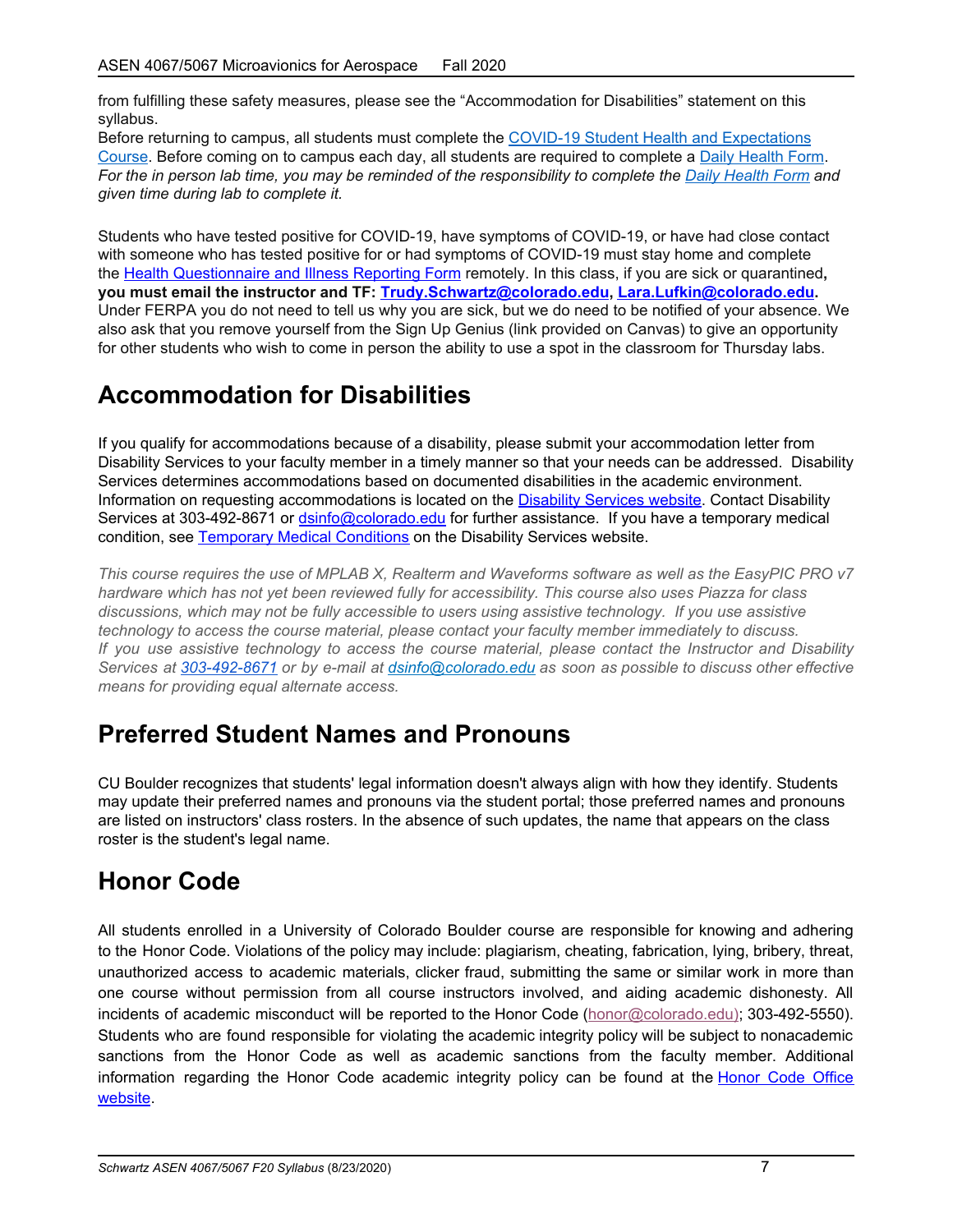from fulfilling these safety measures, please see the "Accommodation for Disabilities" statement on this syllabus.

Before returning to campus, all students must complete the COVID-19 Student Health and [Expectations](https://www.colorado.edu/protect-our-herd/how#anchor1) [Course](https://www.colorado.edu/protect-our-herd/how#anchor1). Before coming on to campus each day, all students are required to complete a Daily [Health](https://www.colorado.edu/protect-our-herd/daily-health-form) Form. For the in person lab time, you may be reminded of the responsibility to complete the Daily [Health](https://www.colorado.edu/protect-our-herd/daily-health-form) Form and *given time during lab to complete it.*

Students who have tested positive for COVID-19, have symptoms of COVID-19, or have had close contact with someone who has tested positive for or had symptoms of COVID-19 must stay home and complete the Health [Questionnaire](https://www.colorado.edu/protect-our-herd/daily-health-form) and Illness Reporting Form remotely. In this class, if you are sick or quarantined**, you must email the instructor and TF: [Trudy.Schwartz@colorado.edu,](mailto:Trudy.Schwartz@colorado.edu) [Lara.Lufkin@colorado.edu.](mailto:Lara.Lufkin@colorado.edu)** Under FERPA you do not need to tell us why you are sick, but we do need to be notified of your absence. We also ask that you remove yourself from the Sign Up Genius (link provided on Canvas) to give an opportunity for other students who wish to come in person the ability to use a spot in the classroom for Thursday labs.

# **Accommodation for Disabilities**

If you qualify for accommodations because of a disability, please submit your accommodation letter from Disability Services to your faculty member in a timely manner so that your needs can be addressed. Disability Services determines accommodations based on documented disabilities in the academic environment. Information on requesting accommodations is located on the [Disability](https://www.colorado.edu/disabilityservices/) Services website. Contact Disability Services at 303-492-8671 or [dsinfo@colorado.edu](mailto:dsinfo@colorado.edu) for further assistance. If you have a temporary medical condition, see [Temporary](http://www.colorado.edu/disabilityservices/students/temporary-medical-conditions) Medical Conditions on the Disability Services website.

This course requires the use of MPLAB X, Realterm and Waveforms software as well as the EasyPIC PRO v7 *hardware which has not yet been reviewed fully for accessibility. This course also uses Piazza for class discussions, which may not be fully accessible to users using assistive technology. If you use assistive technology to access the course material, please contact your faculty member immediately to discuss. If you use assistive technology to access the course material, please contact the Instructor and Disability Services at 303-492-8671 or by e-mail at [dsinfo@colorado.edu](mailto:dsinfo@colorado.edu?subject=) as soon as possible to discuss other effective means for providing equal alternate access.*

# **Preferred Student Names and Pronouns**

CU Boulder recognizes that students' legal information doesn't always align with how they identify. Students may update their preferred names and pronouns via the student portal; those preferred names and pronouns are listed on instructors' class rosters. In the absence of such updates, the name that appears on the class roster is the student's legal name.

# **Honor Code**

All students enrolled in a University of Colorado Boulder course are responsible for knowing and adhering to the Honor Code. Violations of the policy may include: plagiarism, cheating, fabrication, lying, bribery, threat, unauthorized access to academic materials, clicker fraud, submitting the same or similar work in more than one course without permission from all course instructors involved, and aiding academic dishonesty. All incidents of academic misconduct will be reported to the Honor Code ([honor@colorado.edu\)](mailto:honor@colorado.edu); 303-492-5550). Students who are found responsible for violating the academic integrity policy will be subject to nonacademic sanctions from the Honor Code as well as academic sanctions from the faculty member. Additional information regarding the [Honor](https://www.colorado.edu/osccr/honor-code) Code academic integrity policy can be found at the Honor Code Office [website.](https://www.colorado.edu/osccr/honor-code)